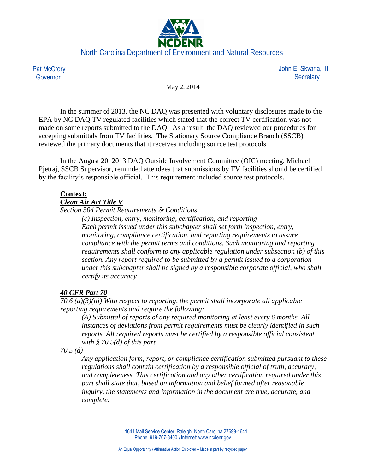

**Pat McCrory** Governor

 John E. Skvarla, III **Secretary** 

May 2, 2014

In the summer of 2013, the NC DAQ was presented with voluntary disclosures made to the EPA by NC DAQ TV regulated facilities which stated that the correct TV certification was not made on some reports submitted to the DAQ. As a result, the DAQ reviewed our procedures for accepting submittals from TV facilities. The Stationary Source Compliance Branch (SSCB) reviewed the primary documents that it receives including source test protocols.

In the August 20, 2013 DAQ Outside Involvement Committee (OIC) meeting, Michael Pjetraj, SSCB Supervisor, reminded attendees that submissions by TV facilities should be certified by the facility's responsible official. This requirement included source test protocols.

## **Context:**

## *Clean Air Act Title V*

*Section 504 Permit Requirements & Conditions*

*(c) Inspection, entry, monitoring, certification, and reporting Each permit issued under this subchapter shall set forth inspection, entry, monitoring, compliance certification, and reporting requirements to assure compliance with the permit terms and conditions. Such monitoring and reporting requirements shall conform to any applicable regulation under subsection (b) of this section. Any report required to be submitted by a permit issued to a corporation under this subchapter shall be signed by a responsible corporate official, who shall certify its accuracy*

## *40 CFR Part 70*

*70.6 (a)(3)(iii) With respect to reporting, the permit shall incorporate all applicable reporting requirements and require the following:*

*(A) Submittal of reports of any required monitoring at least every 6 months. All instances of deviations from permit requirements must be clearly identified in such reports. All required reports must be certified by a responsible official consistent with § 70.5(d) of this part.*

*70.5 (d)* 

*Any application form, report, or compliance certification submitted pursuant to these regulations shall contain certification by a responsible official of truth, accuracy, and completeness. This certification and any other certification required under this part shall state that, based on information and belief formed after reasonable inquiry, the statements and information in the document are true, accurate, and complete.*

> 1641 Mail Service Center, Raleigh, North Carolina 27699-1641 Phone: 919-707-8400 \ Internet: www.ncdenr.gov